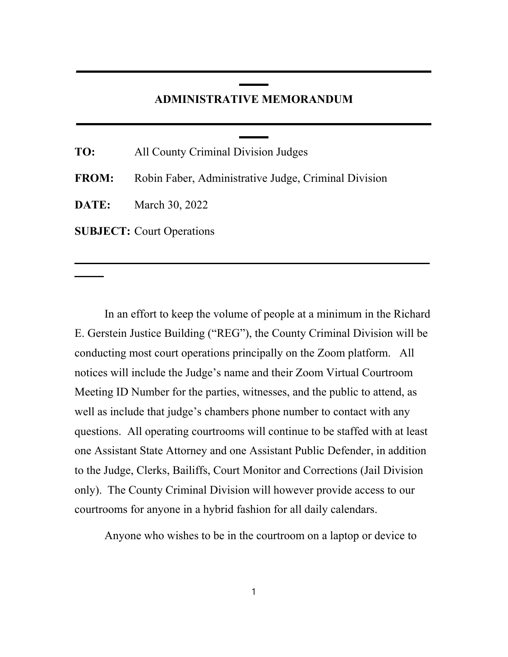## **ADMINISTRATIVE MEMORANDUM**

**\_\_\_\_\_\_\_\_\_\_\_\_\_\_\_\_\_\_\_\_\_\_\_\_\_\_\_\_\_\_\_\_\_\_\_\_\_\_\_\_\_\_\_\_\_\_\_\_\_\_\_\_\_\_\_\_\_\_\_\_\_ \_\_\_\_\_**

**\_\_\_\_\_\_\_\_\_\_\_\_\_\_\_\_\_\_\_\_\_\_\_\_\_\_\_\_\_\_\_\_\_\_\_\_\_\_\_\_\_\_\_\_\_\_\_\_\_\_\_\_\_\_\_\_\_\_\_\_\_**

**\_\_\_\_\_\_\_\_\_\_\_\_\_\_\_\_\_\_\_\_\_\_\_\_\_\_\_\_\_\_\_\_\_\_\_\_\_\_\_\_\_\_\_\_\_\_\_\_\_\_\_\_\_\_\_\_\_\_\_\_\_ \_\_\_\_\_**

| TO: | All County Criminal Division Judges                               |
|-----|-------------------------------------------------------------------|
|     | <b>FROM:</b> Robin Faber, Administrative Judge, Criminal Division |
|     | <b>DATE:</b> March 30, 2022                                       |
|     | <b>SUBJECT:</b> Court Operations                                  |

**\_\_\_\_\_**

In an effort to keep the volume of people at a minimum in the Richard E. Gerstein Justice Building ("REG"), the County Criminal Division will be conducting most court operations principally on the Zoom platform. All notices will include the Judge's name and their Zoom Virtual Courtroom Meeting ID Number for the parties, witnesses, and the public to attend, as well as include that judge's chambers phone number to contact with any questions. All operating courtrooms will continue to be staffed with at least one Assistant State Attorney and one Assistant Public Defender, in addition to the Judge, Clerks, Bailiffs, Court Monitor and Corrections (Jail Division only). The County Criminal Division will however provide access to our courtrooms for anyone in a hybrid fashion for all daily calendars.

Anyone who wishes to be in the courtroom on a laptop or device to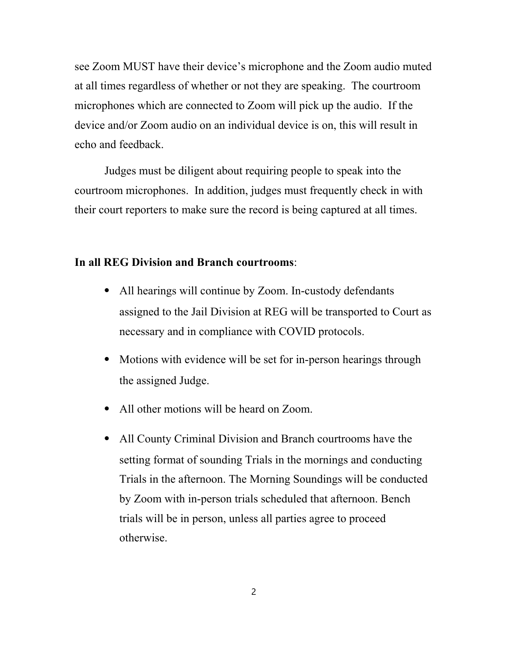see Zoom MUST have their device's microphone and the Zoom audio muted at all times regardless of whether or not they are speaking. The courtroom microphones which are connected to Zoom will pick up the audio. If the device and/or Zoom audio on an individual device is on, this will result in echo and feedback.

Judges must be diligent about requiring people to speak into the courtroom microphones. In addition, judges must frequently check in with their court reporters to make sure the record is being captured at all times.

## **In all REG Division and Branch courtrooms**:

- ⦁ All hearings will continue by Zoom. In-custody defendants assigned to the Jail Division at REG will be transported to Court as necessary and in compliance with COVID protocols.
- Motions with evidence will be set for in-person hearings through the assigned Judge.
- ⦁ All other motions will be heard on Zoom.
- ⦁ All County Criminal Division and Branch courtrooms have the setting format of sounding Trials in the mornings and conducting Trials in the afternoon. The Morning Soundings will be conducted by Zoom with in-person trials scheduled that afternoon. Bench trials will be in person, unless all parties agree to proceed otherwise.